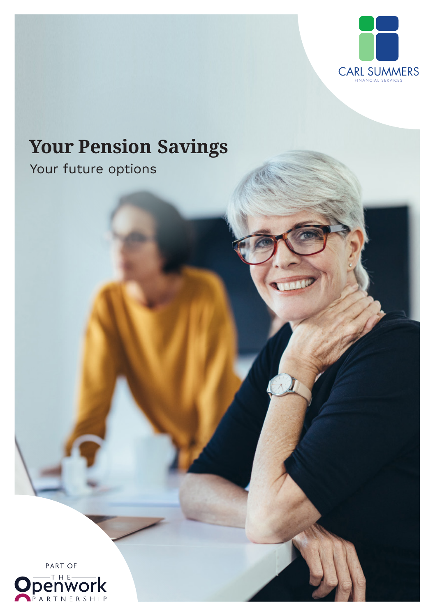

# **Your Pension Savings**

Your future options

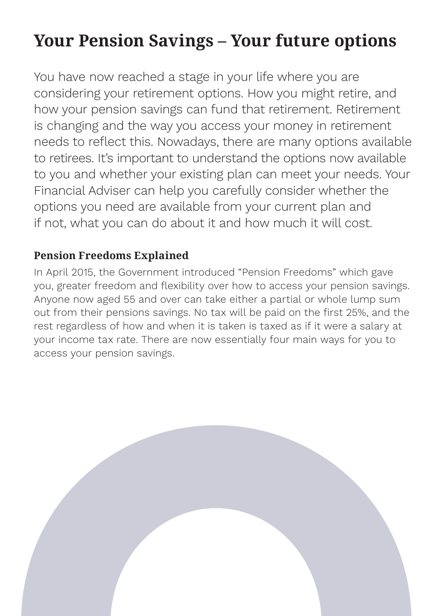## **Your Pension Savings – Your future options**

You have now reached a stage in your life where you are considering your retirement options. How you might retire, and how your pension savings can fund that retirement. Retirement is changing and the way you access your money in retirement needs to reflect this. Nowadays, there are many options available to retirees. It's important to understand the options now available to you and whether your existing plan can meet your needs. Your Financial Adviser can help you carefully consider whether the options you need are available from your current plan and if not, what you can do about it and how much it will cost.

### **Pension Freedoms Explained**

In April 2015, the Government introduced "Pension Freedoms" which gave you, greater freedom and flexibility over how to access your pension savings. Anyone now aged 55 and over can take either a partial or whole lump sum out from their pensions savings. No tax will be paid on the first 25%, and the rest regardless of how and when it is taken is taxed as if it were a salary at your income tax rate. There are now essentially four main ways for you to access your pension savings.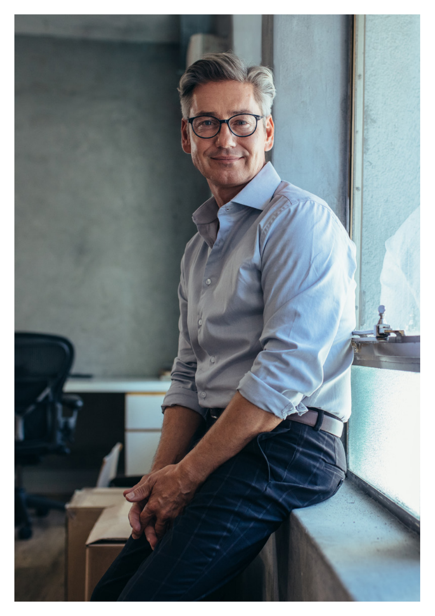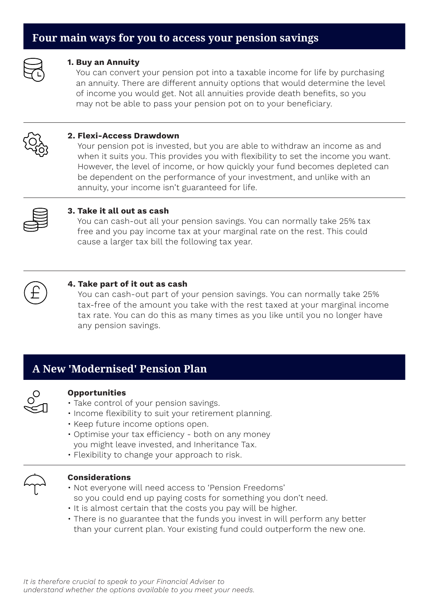### Four main ways for you to access your pension savings



### **1. Buy an Annuity**

You can convert your pension pot into a taxable income for life by purchasing an annuity. There are different annuity options that would determine the level of income you would get. Not all annuities provide death benefits, so you may not be able to pass your pension pot on to your beneficiary.



### **2. Flexi-Access Drawdown**

Your pension pot is invested, but you are able to withdraw an income as and when it suits you. This provides you with flexibility to set the income you want. However, the level of income, or how quickly your fund becomes depleted can be dependent on the performance of your investment, and unlike with an annuity, your income isn't guaranteed for life.



### **3. Take it all out as cash**

You can cash-out all your pension savings. You can normally take 25% tax free and you pay income tax at your marginal rate on the rest. This could cause a larger tax bill the following tax year.



### **4. Take part of it out as cash**

You can cash-out part of your pension savings. You can normally take 25% tax-free of the amount you take with the rest taxed at your marginal income tax rate. You can do this as many times as you like until you no longer have any pension savings.

### **A New 'Modernised' Pension Plan**



### **Opportunities**

- Take control of your pension savings.
- Income flexibility to suit your retirement planning.
- Keep future income options open.
- Optimise your tax efficiency both on any money you might leave invested, and Inheritance Tax.
- Flexibility to change your approach to risk.



#### **Considerations**

- Not everyone will need access to 'Pension Freedoms' so you could end up paying costs for something you don't need.
- It is almost certain that the costs you pay will be higher.
- There is no guarantee that the funds you invest in will perform any better than your current plan. Your existing fund could outperform the new one.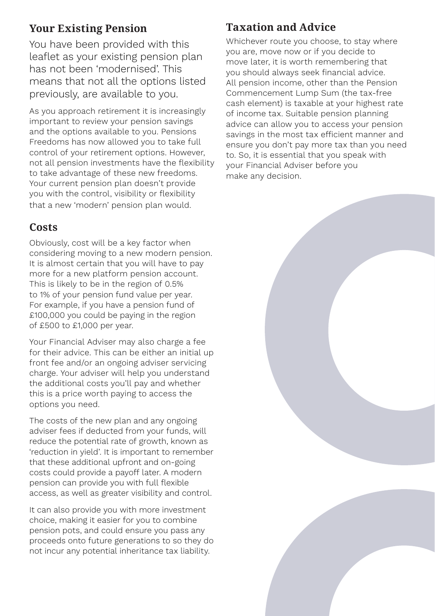### **Your Existing Pension**

You have been provided with this leaflet as your existing pension plan has not been 'modernised'. This means that not all the options listed previously, are available to you.

As you approach retirement it is increasingly important to review your pension savings and the options available to you. Pensions Freedoms has now allowed you to take full control of your retirement options. However, not all pension investments have the flexibility to take advantage of these new freedoms. Your current pension plan doesn't provide you with the control, visibility or flexibility that a new 'modern' pension plan would.

### **Costs**

Obviously, cost will be a key factor when considering moving to a new modern pension. It is almost certain that you will have to pay more for a new platform pension account. This is likely to be in the region of 0.5% to 1% of your pension fund value per year. For example, if you have a pension fund of £100,000 you could be paying in the region of £500 to £1,000 per year.

Your Financial Adviser may also charge a fee for their advice. This can be either an initial up front fee and/or an ongoing adviser servicing charge. Your adviser will help you understand the additional costs you'll pay and whether this is a price worth paying to access the options you need.

The costs of the new plan and any ongoing adviser fees if deducted from your funds, will reduce the potential rate of growth, known as 'reduction in yield'. It is important to remember that these additional upfront and on-going costs could provide a payoff later. A modern pension can provide you with full flexible access, as well as greater visibility and control.

It can also provide you with more investment choice, making it easier for you to combine pension pots, and could ensure you pass any proceeds onto future generations to so they do not incur any potential inheritance tax liability.

### **Taxation and Advice**

Whichever route you choose, to stay where you are, move now or if you decide to move later, it is worth remembering that you should always seek financial advice. All pension income, other than the Pension Commencement Lump Sum (the tax-free cash element) is taxable at your highest rate of income tax. Suitable pension planning advice can allow you to access your pension savings in the most tax efficient manner and ensure you don't pay more tax than you need to. So, it is essential that you speak with your Financial Adviser before you make any decision.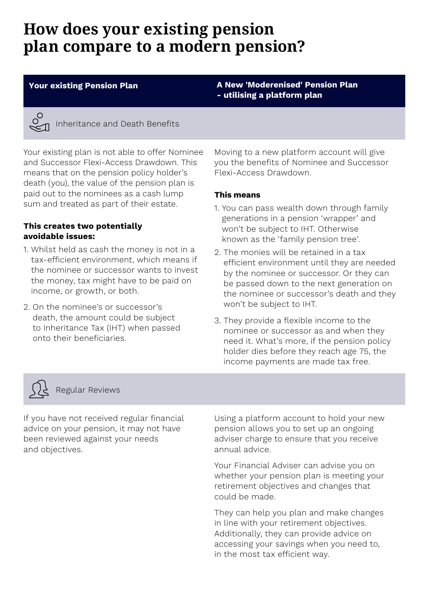## **How does your existing pension plan compare to a modern pension?**

#### **Your existing Pension Plan**

### **– utilising a platform plan nalp mroftalp a gnisilitu -A New 'Moderenised' Pension Plan**



 $\sim$  Inheritance and Death Benefits

Your existing plan is not able to offer Nominee and Successor Flexi-Access Drawdown. This means that on the pension policy holder's death (you), the value of the pension plan is paid out to the nominees as a cash lump sum and treated as part of their estate.

#### **This creates two potentially avoidable issues:**

- 1. Whilst held as cash the money is not in a tax-efficient environment, which means if the nominee or successor wants to invest the money, tax might have to be paid on income, or growth, or both.
- 2. On the nominee's or successor's death, the amount could be subject to Inheritance Tax (IHT) when passed onto their beneficiaries.

Moving to a new platform account will give you the benefits of Nominee and Successor Flexi-Access Drawdown.

#### **This means**

- 1. You can pass wealth down through family generations in a pension 'wrapper' and won't be subject to IHT. Otherwise known as the 'family pension tree'.
- 2. The monies will be retained in a tax efficient environment until they are needed by the nominee or successor. Or they can be passed down to the next generation on the nominee or successor's death and they won't be subject to IHT.
- 3. They provide a flexible income to the nominee or successor as and when they need it. What's more, if the pension policy holder dies before they reach age 75, the income payments are made tax free.



Regular Reviews

If you have not received regular financial advice on your pension, it may not have been reviewed against your needs and objectives.

Using a platform account to hold your new pension allows you to set up an ongoing adviser charge to ensure that you receive annual advice.

Your Financial Adviser can advise you on whether your pension plan is meeting your retirement objectives and changes that could be made.

They can help you plan and make changes in line with your retirement objectives. Additionally, they can provide advice on accessing your savings when you need to, in the most tax efficient way.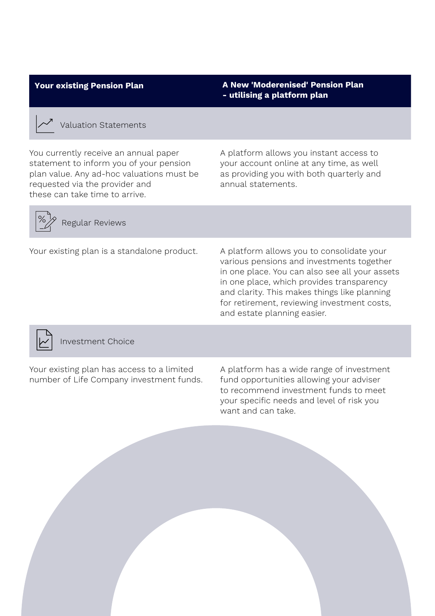#### **Your existing Pension Plan**

#### **A New 'Moderenised' Pension Plan** - utilising a platform plan

Valuation Statements

You currently receive an annual paper statement to inform you of your pension plan value. Any ad-hoc valuations must be requested via the provider and these can take time to arrive

A platform allows you instant access to vour account online at any time, as well as providing you with both quarterly and annual statements



Regular Reviews

Your existing plan is a standalone product.

A platform allows you to consolidate your various pensions and investments together in one place. You can also see all your assets in one place, which provides transparency and clarity. This makes things like planning for retirement, reviewing investment costs, and estate planning easier.



Investment Choice

Your existing plan has access to a limited number of Life Company investment funds.

A platform has a wide range of investment fund opportunities allowing your adviser to recommend investment funds to meet your specific needs and level of risk you want and can take.